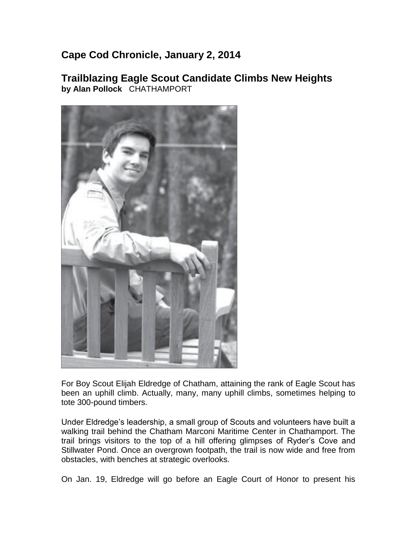## **Cape Cod Chronicle, January 2, 2014**

## **Trailblazing Eagle Scout Candidate Climbs New Heights by Alan Pollock** CHATHAMPORT



For Boy Scout Elijah Eldredge of Chatham, attaining the rank of Eagle Scout has been an uphill climb. Actually, many, many uphill climbs, sometimes helping to tote 300-pound timbers.

Under Eldredge's leadership, a small group of Scouts and volunteers have built a walking trail behind the Chatham Marconi Maritime Center in Chathamport. The trail brings visitors to the top of a hill offering glimpses of Ryder's Cove and Stillwater Pond. Once an overgrown footpath, the trail is now wide and free from obstacles, with benches at strategic overlooks.

On Jan. 19, Eldredge will go before an Eagle Court of Honor to present his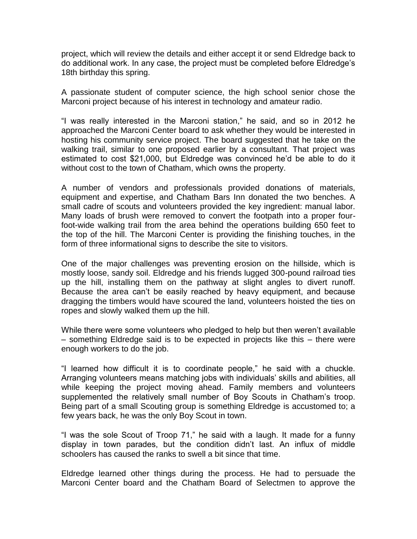project, which will review the details and either accept it or send Eldredge back to do additional work. In any case, the project must be completed before Eldredge's 18th birthday this spring.

A passionate student of computer science, the high school senior chose the Marconi project because of his interest in technology and amateur radio.

"I was really interested in the Marconi station," he said, and so in 2012 he approached the Marconi Center board to ask whether they would be interested in hosting his community service project. The board suggested that he take on the walking trail, similar to one proposed earlier by a consultant. That project was estimated to cost \$21,000, but Eldredge was convinced he'd be able to do it without cost to the town of Chatham, which owns the property.

A number of vendors and professionals provided donations of materials, equipment and expertise, and Chatham Bars Inn donated the two benches. A small cadre of scouts and volunteers provided the key ingredient: manual labor. Many loads of brush were removed to convert the footpath into a proper fourfoot-wide walking trail from the area behind the operations building 650 feet to the top of the hill. The Marconi Center is providing the finishing touches, in the form of three informational signs to describe the site to visitors.

One of the major challenges was preventing erosion on the hillside, which is mostly loose, sandy soil. Eldredge and his friends lugged 300-pound railroad ties up the hill, installing them on the pathway at slight angles to divert runoff. Because the area can't be easily reached by heavy equipment, and because dragging the timbers would have scoured the land, volunteers hoisted the ties on ropes and slowly walked them up the hill.

While there were some volunteers who pledged to help but then weren't available – something Eldredge said is to be expected in projects like this – there were enough workers to do the job.

"I learned how difficult it is to coordinate people," he said with a chuckle. Arranging volunteers means matching jobs with individuals' skills and abilities, all while keeping the project moving ahead. Family members and volunteers supplemented the relatively small number of Boy Scouts in Chatham's troop. Being part of a small Scouting group is something Eldredge is accustomed to; a few years back, he was the only Boy Scout in town.

"I was the sole Scout of Troop 71," he said with a laugh. It made for a funny display in town parades, but the condition didn't last. An influx of middle schoolers has caused the ranks to swell a bit since that time.

Eldredge learned other things during the process. He had to persuade the Marconi Center board and the Chatham Board of Selectmen to approve the